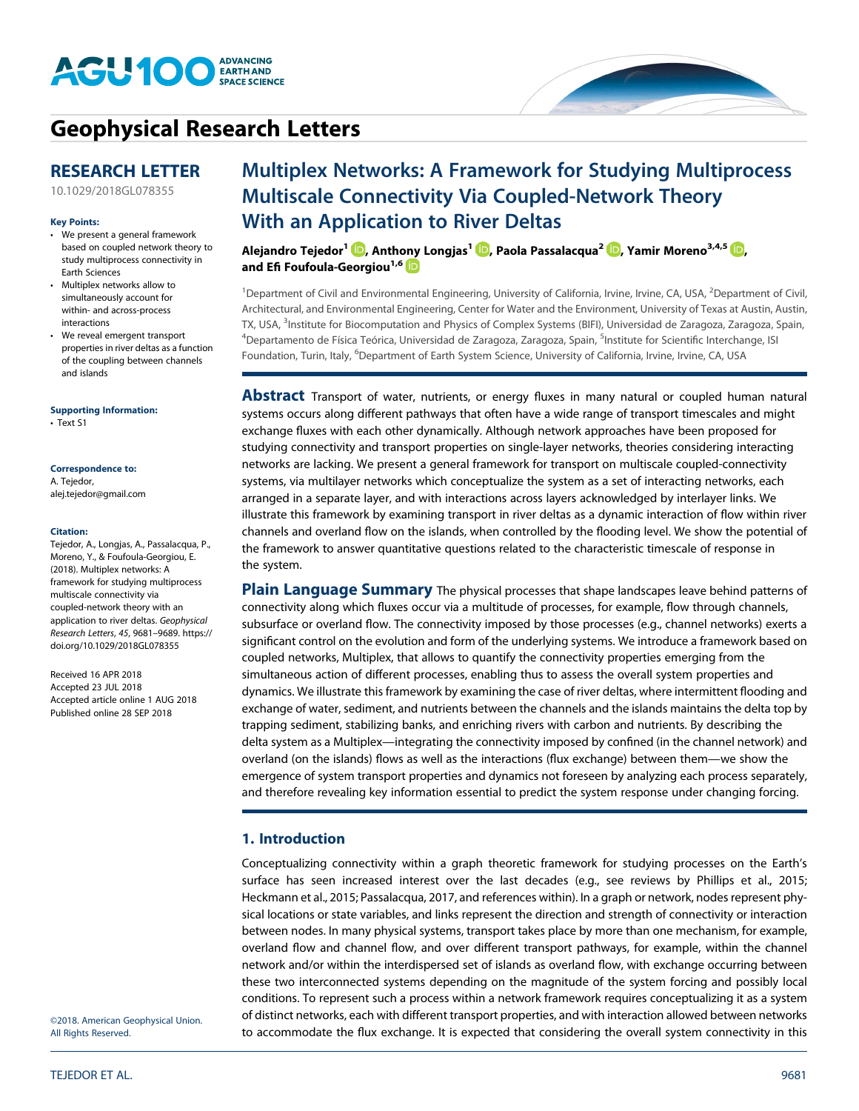



## [Geophysical Research Letters](http://onlinelibrary.wiley.com/journal/10.1002/(ISSN)1944-8007)

## RESEARCH LETTER

[10.1029/2018GL078355](http://dx.doi.org/10.1029/2018GL078355)

#### Key Points:

- We present a general framework based on coupled network theory to study multiprocess connectivity in Earth Sciences
- Multiplex networks allow to simultaneously account for within- and across-process interactions
- We reveal emergent transport properties in river deltas as a function of the coupling between channels and islands

[Supporting Information:](http://dx.doi.org/10.1029/2018GL078355)

[•](http://dx.doi.org/10.1029/2018GL078355) [Text S1](http://dx.doi.org/10.1029/2018GL078355)

#### Correspondence to:

A. Tejedor, [alej.tejedor@gmail.com](mailto:alej.tejedor@gmail.com)

#### Citation:

Tejedor, A., Longjas, A., Passalacqua, P., Moreno, Y., & Foufoula-Georgiou, E. (2018). Multiplex networks: A framework for studying multiprocess multiscale connectivity via coupled-network theory with an application to river deltas. Geophysical Research Letters, 45, 9681–9689. [https://](https://doi.org/10.1029/2018GL078355) [doi.org/10.1029/2018GL078355](https://doi.org/10.1029/2018GL078355)

Received 16 APR 2018 Accepted 23 JUL 2018 Accepted article online 1 AUG 2018 Published online 28 SEP 2018

# Multiplex Networks: A Framework for Studying Multiprocess Multiscale Connectivity Via Coupled-Network Theory With an Application to River Deltas

Alejandro Tejedor<sup>1</sup> D[,](http://orcid.org/0000-0002-0895-1893) Anthony Longjas<sup>1</sup> D, Paola Passalacqua<sup>2</sup> D, Yamir Moreno<sup>3,4,5</sup> D, and Efi Foufoula-Georgiou<sup>1,6</sup>

<sup>1</sup>Department of Civil and Environmental Engineering, University of California, Irvine, Irvine, CA, USA, <sup>2</sup>Department of Civil, Architectural, and Environmental Engineering, Center for Water and the Environment, University of Texas at Austin, Austin, TX, USA, <sup>3</sup>Institute for Biocomputation and Physics of Complex Systems (BIFI), Universidad de Zaragoza, Zaragoza, Spain, <sup>4</sup>Departamento de Física Teórica, Universidad de Zaragoza, Zaragoza, Spain, <sup>5</sup>Institute for Scientific Interchange, ISI Foundation, Turin, Italy, <sup>6</sup>Department of Earth System Science, University of California, Irvine, Irvine, CA, USA

**Abstract** Transport of water, nutrients, or energy fluxes in many natural or coupled human natural systems occurs along different pathways that often have a wide range of transport timescales and might exchange fluxes with each other dynamically. Although network approaches have been proposed for studying connectivity and transport properties on single-layer networks, theories considering interacting networks are lacking. We present a general framework for transport on multiscale coupled-connectivity systems, via multilayer networks which conceptualize the system as a set of interacting networks, each arranged in a separate layer, and with interactions across layers acknowledged by interlayer links. We illustrate this framework by examining transport in river deltas as a dynamic interaction of flow within river channels and overland flow on the islands, when controlled by the flooding level. We show the potential of the framework to answer quantitative questions related to the characteristic timescale of response in the system.

**Plain Language Summary** The physical processes that shape landscapes leave behind patterns of connectivity along which fluxes occur via a multitude of processes, for example, flow through channels, subsurface or overland flow. The connectivity imposed by those processes (e.g., channel networks) exerts a significant control on the evolution and form of the underlying systems. We introduce a framework based on coupled networks, Multiplex, that allows to quantify the connectivity properties emerging from the simultaneous action of different processes, enabling thus to assess the overall system properties and dynamics. We illustrate this framework by examining the case of river deltas, where intermittent flooding and exchange of water, sediment, and nutrients between the channels and the islands maintains the delta top by trapping sediment, stabilizing banks, and enriching rivers with carbon and nutrients. By describing the delta system as a Multiplex—integrating the connectivity imposed by confined (in the channel network) and overland (on the islands) flows as well as the interactions (flux exchange) between them—we show the emergence of system transport properties and dynamics not foreseen by analyzing each process separately, and therefore revealing key information essential to predict the system response under changing forcing.

### 1. Introduction

Conceptualizing connectivity within a graph theoretic framework for studying processes on the Earth's surface has seen increased interest over the last decades (e.g., see reviews by Phillips et al., 2015; Heckmann et al., 2015; Passalacqua, 2017, and references within). In a graph or network, nodes represent physical locations or state variables, and links represent the direction and strength of connectivity or interaction between nodes. In many physical systems, transport takes place by more than one mechanism, for example, overland flow and channel flow, and over different transport pathways, for example, within the channel network and/or within the interdispersed set of islands as overland flow, with exchange occurring between these two interconnected systems depending on the magnitude of the system forcing and possibly local conditions. To represent such a process within a network framework requires conceptualizing it as a system of distinct networks, each with different transport properties, and with interaction allowed between networks to accommodate the flux exchange. It is expected that considering the overall system connectivity in this

©2018. American Geophysical Union. All Rights Reserved.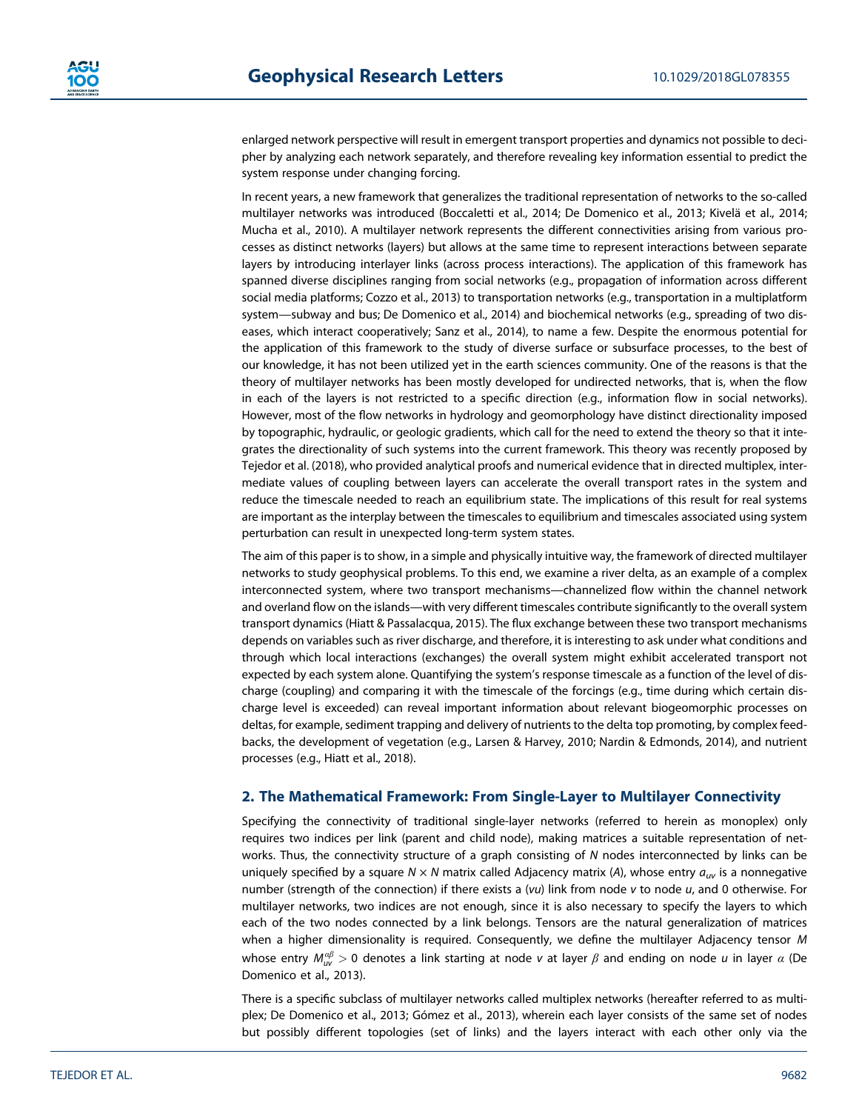enlarged network perspective will result in emergent transport properties and dynamics not possible to decipher by analyzing each network separately, and therefore revealing key information essential to predict the system response under changing forcing.

In recent years, a new framework that generalizes the traditional representation of networks to the so-called multilayer networks was introduced (Boccaletti et al., 2014; De Domenico et al., 2013; Kivelä et al., 2014; Mucha et al., 2010). A multilayer network represents the different connectivities arising from various processes as distinct networks (layers) but allows at the same time to represent interactions between separate layers by introducing interlayer links (across process interactions). The application of this framework has spanned diverse disciplines ranging from social networks (e.g., propagation of information across different social media platforms; Cozzo et al., 2013) to transportation networks (e.g., transportation in a multiplatform system—subway and bus; De Domenico et al., 2014) and biochemical networks (e.g., spreading of two diseases, which interact cooperatively; Sanz et al., 2014), to name a few. Despite the enormous potential for the application of this framework to the study of diverse surface or subsurface processes, to the best of our knowledge, it has not been utilized yet in the earth sciences community. One of the reasons is that the theory of multilayer networks has been mostly developed for undirected networks, that is, when the flow in each of the layers is not restricted to a specific direction (e.g., information flow in social networks). However, most of the flow networks in hydrology and geomorphology have distinct directionality imposed by topographic, hydraulic, or geologic gradients, which call for the need to extend the theory so that it integrates the directionality of such systems into the current framework. This theory was recently proposed by Tejedor et al. (2018), who provided analytical proofs and numerical evidence that in directed multiplex, intermediate values of coupling between layers can accelerate the overall transport rates in the system and reduce the timescale needed to reach an equilibrium state. The implications of this result for real systems are important as the interplay between the timescales to equilibrium and timescales associated using system perturbation can result in unexpected long-term system states.

The aim of this paper is to show, in a simple and physically intuitive way, the framework of directed multilayer networks to study geophysical problems. To this end, we examine a river delta, as an example of a complex interconnected system, where two transport mechanisms—channelized flow within the channel network and overland flow on the islands—with very different timescales contribute significantly to the overall system transport dynamics (Hiatt & Passalacqua, 2015). The flux exchange between these two transport mechanisms depends on variables such as river discharge, and therefore, it is interesting to ask under what conditions and through which local interactions (exchanges) the overall system might exhibit accelerated transport not expected by each system alone. Quantifying the system's response timescale as a function of the level of discharge (coupling) and comparing it with the timescale of the forcings (e.g., time during which certain discharge level is exceeded) can reveal important information about relevant biogeomorphic processes on deltas, for example, sediment trapping and delivery of nutrients to the delta top promoting, by complex feedbacks, the development of vegetation (e.g., Larsen & Harvey, 2010; Nardin & Edmonds, 2014), and nutrient processes (e.g., Hiatt et al., 2018).

## 2. The Mathematical Framework: From Single-Layer to Multilayer Connectivity

Specifying the connectivity of traditional single-layer networks (referred to herein as monoplex) only requires two indices per link (parent and child node), making matrices a suitable representation of networks. Thus, the connectivity structure of a graph consisting of N nodes interconnected by links can be uniquely specified by a square  $N \times N$  matrix called Adjacency matrix (A), whose entry  $a_{uv}$  is a nonnegative number (strength of the connection) if there exists a  $(vu)$  link from node v to node u, and 0 otherwise. For multilayer networks, two indices are not enough, since it is also necessary to specify the layers to which each of the two nodes connected by a link belongs. Tensors are the natural generalization of matrices when a higher dimensionality is required. Consequently, we define the multilayer Adjacency tensor M whose entry  $M_{uv}^{\alpha\beta}>0$  denotes a link starting at node v at layer  $\beta$  and ending on node  $u$  in layer  $\alpha$  (De Domenico et al., 2013).

There is a specific subclass of multilayer networks called multiplex networks (hereafter referred to as multiplex; De Domenico et al., 2013; Gómez et al., 2013), wherein each layer consists of the same set of nodes but possibly different topologies (set of links) and the layers interact with each other only via the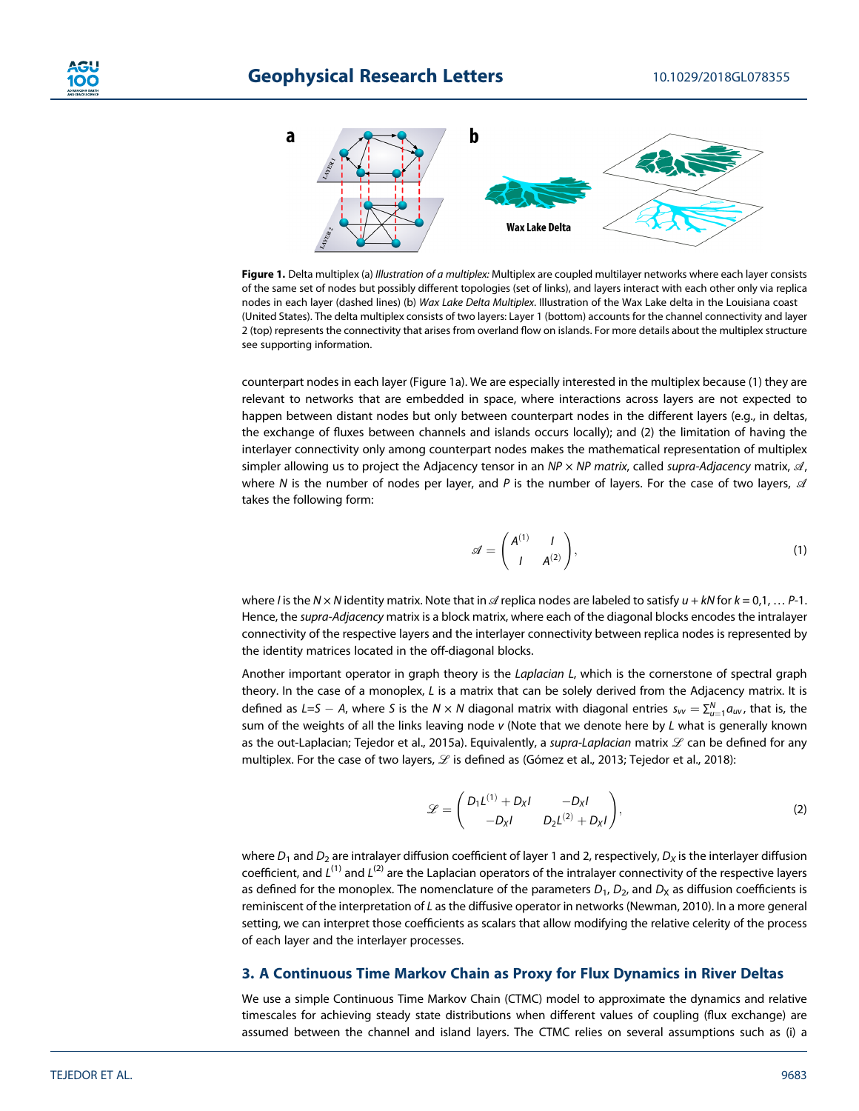

Figure 1. Delta multiplex (a) Illustration of a multiplex: Multiplex are coupled multilayer networks where each layer consists of the same set of nodes but possibly different topologies (set of links), and layers interact with each other only via replica nodes in each layer (dashed lines) (b) Wax Lake Delta Multiplex. Illustration of the Wax Lake delta in the Louisiana coast (United States). The delta multiplex consists of two layers: Layer 1 (bottom) accounts for the channel connectivity and layer 2 (top) represents the connectivity that arises from overland flow on islands. For more details about the multiplex structure see supporting information.

counterpart nodes in each layer (Figure 1a). We are especially interested in the multiplex because (1) they are relevant to networks that are embedded in space, where interactions across layers are not expected to happen between distant nodes but only between counterpart nodes in the different layers (e.g., in deltas, the exchange of fluxes between channels and islands occurs locally); and (2) the limitation of having the interlayer connectivity only among counterpart nodes makes the mathematical representation of multiplex simpler allowing us to project the Adjacency tensor in an NP  $\times$  NP matrix, called supra-Adjacency matrix,  $\mathscr{A}$ , where N is the number of nodes per layer, and P is the number of layers. For the case of two layers,  $\mathscr A$ takes the following form:

$$
\mathscr{A} = \begin{pmatrix} A^{(1)} & I \\ I & A^{(2)} \end{pmatrix},\tag{1}
$$

where I is the  $N \times N$  identity matrix. Note that in  $\mathscr A$  replica nodes are labeled to satisfy  $u + kN$  for  $k = 0,1, \ldots P-1$ . Hence, the supra-Adjacency matrix is a block matrix, where each of the diagonal blocks encodes the intralayer connectivity of the respective layers and the interlayer connectivity between replica nodes is represented by the identity matrices located in the off-diagonal blocks.

Another important operator in graph theory is the Laplacian L, which is the cornerstone of spectral graph theory. In the case of a monoplex,  $L$  is a matrix that can be solely derived from the Adjacency matrix. It is defined as L=S  $-$  A, where S is the N  $\times$  N diagonal matrix with diagonal entries  $s_w = \sum_{u=1}^{N} a_{uv}$ , that is, the sum of the weights of all the links leaving node  $v$  (Note that we denote here by  $L$  what is generally known as the out-Laplacian; Tejedor et al., 2015a). Equivalently, a supra-Laplacian matrix  $\mathscr L$  can be defined for any multiplex. For the case of two layers,  $\mathscr L$  is defined as (Gómez et al., 2013; Tejedor et al., 2018):

$$
\mathscr{L} = \begin{pmatrix} D_1 L^{(1)} + D_X I & -D_X I \\ -D_X I & D_2 L^{(2)} + D_X I \end{pmatrix},\tag{2}
$$

where  $D_1$  and  $D_2$  are intralayer diffusion coefficient of layer 1 and 2, respectively,  $D_X$  is the interlayer diffusion coefficient, and  $L^{(1)}$  and  $L^{(2)}$  are the Laplacian operators of the intralayer connectivity of the respective layers as defined for the monoplex. The nomenclature of the parameters  $D_1$ ,  $D_2$ , and  $D_X$  as diffusion coefficients is reminiscent of the interpretation of L as the diffusive operator in networks (Newman, 2010). In a more general setting, we can interpret those coefficients as scalars that allow modifying the relative celerity of the process of each layer and the interlayer processes.

## 3. A Continuous Time Markov Chain as Proxy for Flux Dynamics in River Deltas

We use a simple Continuous Time Markov Chain (CTMC) model to approximate the dynamics and relative timescales for achieving steady state distributions when different values of coupling (flux exchange) are assumed between the channel and island layers. The CTMC relies on several assumptions such as (i) a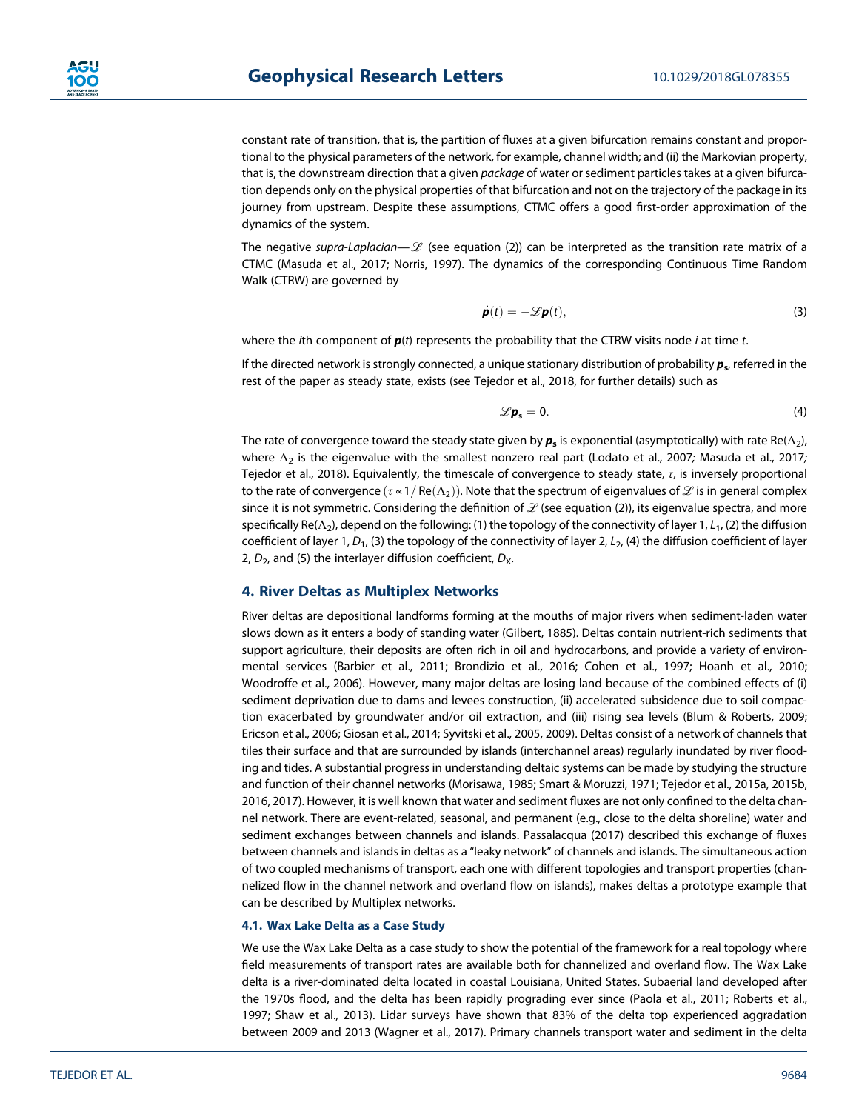constant rate of transition, that is, the partition of fluxes at a given bifurcation remains constant and proportional to the physical parameters of the network, for example, channel width; and (ii) the Markovian property, that is, the downstream direction that a given package of water or sediment particles takes at a given bifurcation depends only on the physical properties of that bifurcation and not on the trajectory of the package in its journey from upstream. Despite these assumptions, CTMC offers a good first-order approximation of the dynamics of the system.

The negative supra-Laplacian— $\mathscr L$  (see equation (2)) can be interpreted as the transition rate matrix of a CTMC (Masuda et al., 2017; Norris, 1997). The dynamics of the corresponding Continuous Time Random Walk (CTRW) are governed by

$$
\dot{\boldsymbol{p}}(t) = -\mathscr{L}\boldsymbol{p}(t),\tag{3}
$$

where the *i*th component of  $p(t)$  represents the probability that the CTRW visits node *i* at time *t*.

If the directed network is strongly connected, a unique stationary distribution of probability  $p_s$ , referred in the rest of the paper as steady state, exists (see Tejedor et al., 2018, for further details) such as

$$
\mathscr{L}\mathbf{p}_{\mathbf{s}} = 0. \tag{4}
$$

The rate of convergence toward the steady state given by  $p_s$  is exponential (asymptotically) with rate Re( $\Lambda_2$ ), where  $\Lambda_2$  is the eigenvalue with the smallest nonzero real part (Lodato et al., 2007; Masuda et al., 2017; Tejedor et al., 2018). Equivalently, the timescale of convergence to steady state,  $\tau$ , is inversely proportional to the rate of convergence  $(\tau \propto 1/Re(\Lambda_2))$ . Note that the spectrum of eigenvalues of  $\mathscr L$  is in general complex since it is not symmetric. Considering the definition of  $\mathscr L$  (see equation (2)), its eigenvalue spectra, and more specifically Re( $\Lambda_2$ ), depend on the following: (1) the topology of the connectivity of layer 1, L<sub>1</sub>, (2) the diffusion coefficient of layer 1,  $D_1$ , (3) the topology of the connectivity of layer 2,  $L_2$ , (4) the diffusion coefficient of layer 2,  $D_2$ , and (5) the interlayer diffusion coefficient,  $D_X$ .

### 4. River Deltas as Multiplex Networks

River deltas are depositional landforms forming at the mouths of major rivers when sediment-laden water slows down as it enters a body of standing water (Gilbert, 1885). Deltas contain nutrient-rich sediments that support agriculture, their deposits are often rich in oil and hydrocarbons, and provide a variety of environmental services (Barbier et al., 2011; Brondizio et al., 2016; Cohen et al., 1997; Hoanh et al., 2010; Woodroffe et al., 2006). However, many major deltas are losing land because of the combined effects of (i) sediment deprivation due to dams and levees construction, (ii) accelerated subsidence due to soil compaction exacerbated by groundwater and/or oil extraction, and (iii) rising sea levels (Blum & Roberts, 2009; Ericson et al., 2006; Giosan et al., 2014; Syvitski et al., 2005, 2009). Deltas consist of a network of channels that tiles their surface and that are surrounded by islands (interchannel areas) regularly inundated by river flooding and tides. A substantial progress in understanding deltaic systems can be made by studying the structure and function of their channel networks (Morisawa, 1985; Smart & Moruzzi, 1971; Tejedor et al., 2015a, 2015b, 2016, 2017). However, it is well known that water and sediment fluxes are not only confined to the delta channel network. There are event-related, seasonal, and permanent (e.g., close to the delta shoreline) water and sediment exchanges between channels and islands. Passalacqua (2017) described this exchange of fluxes between channels and islands in deltas as a "leaky network" of channels and islands. The simultaneous action of two coupled mechanisms of transport, each one with different topologies and transport properties (channelized flow in the channel network and overland flow on islands), makes deltas a prototype example that can be described by Multiplex networks.

#### 4.1. Wax Lake Delta as a Case Study

We use the Wax Lake Delta as a case study to show the potential of the framework for a real topology where field measurements of transport rates are available both for channelized and overland flow. The Wax Lake delta is a river-dominated delta located in coastal Louisiana, United States. Subaerial land developed after the 1970s flood, and the delta has been rapidly prograding ever since (Paola et al., 2011; Roberts et al., 1997; Shaw et al., 2013). Lidar surveys have shown that 83% of the delta top experienced aggradation between 2009 and 2013 (Wagner et al., 2017). Primary channels transport water and sediment in the delta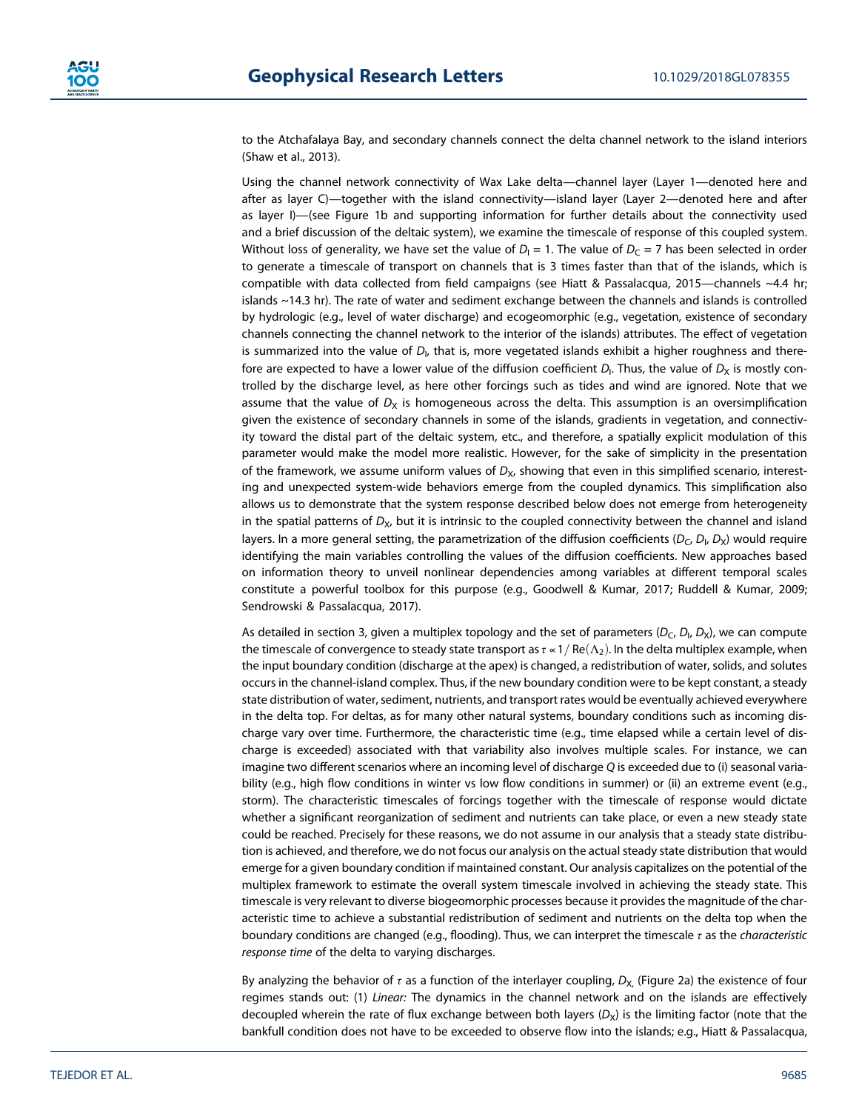to the Atchafalaya Bay, and secondary channels connect the delta channel network to the island interiors (Shaw et al., 2013).

Using the channel network connectivity of Wax Lake delta—channel layer (Layer 1—denoted here and after as layer C)—together with the island connectivity—island layer (Layer 2—denoted here and after as layer I)—(see Figure 1b and supporting information for further details about the connectivity used and a brief discussion of the deltaic system), we examine the timescale of response of this coupled system. Without loss of generality, we have set the value of  $D_1 = 1$ . The value of  $D_C = 7$  has been selected in order to generate a timescale of transport on channels that is 3 times faster than that of the islands, which is compatible with data collected from field campaigns (see Hiatt & Passalacqua, 2015—channels ~4.4 hr; islands ~14.3 hr). The rate of water and sediment exchange between the channels and islands is controlled by hydrologic (e.g., level of water discharge) and ecogeomorphic (e.g., vegetation, existence of secondary channels connecting the channel network to the interior of the islands) attributes. The effect of vegetation is summarized into the value of  $D_{\sf I}$ , that is, more vegetated islands exhibit a higher roughness and therefore are expected to have a lower value of the diffusion coefficient  $D_{\sf h}$ . Thus, the value of  $D_{\sf X}$  is mostly controlled by the discharge level, as here other forcings such as tides and wind are ignored. Note that we assume that the value of  $D_x$  is homogeneous across the delta. This assumption is an oversimplification given the existence of secondary channels in some of the islands, gradients in vegetation, and connectivity toward the distal part of the deltaic system, etc., and therefore, a spatially explicit modulation of this parameter would make the model more realistic. However, for the sake of simplicity in the presentation of the framework, we assume uniform values of  $D<sub>X</sub>$ , showing that even in this simplified scenario, interesting and unexpected system-wide behaviors emerge from the coupled dynamics. This simplification also allows us to demonstrate that the system response described below does not emerge from heterogeneity in the spatial patterns of  $D_X$ , but it is intrinsic to the coupled connectivity between the channel and island layers. In a more general setting, the parametrization of the diffusion coefficients (D<sub>C</sub>, D<sub>I</sub>, D<sub>X</sub>) would require identifying the main variables controlling the values of the diffusion coefficients. New approaches based on information theory to unveil nonlinear dependencies among variables at different temporal scales constitute a powerful toolbox for this purpose (e.g., Goodwell & Kumar, 2017; Ruddell & Kumar, 2009; Sendrowski & Passalacqua, 2017).

As detailed in section 3, given a multiplex topology and the set of parameters (D<sub>C</sub>, D<sub>I</sub>, D<sub>X</sub>), we can compute the timescale of convergence to steady state transport as  $\tau \propto 1/Re(\Lambda_2)$ . In the delta multiplex example, when the input boundary condition (discharge at the apex) is changed, a redistribution of water, solids, and solutes occurs in the channel-island complex. Thus, if the new boundary condition were to be kept constant, a steady state distribution of water, sediment, nutrients, and transport rates would be eventually achieved everywhere in the delta top. For deltas, as for many other natural systems, boundary conditions such as incoming discharge vary over time. Furthermore, the characteristic time (e.g., time elapsed while a certain level of discharge is exceeded) associated with that variability also involves multiple scales. For instance, we can imagine two different scenarios where an incoming level of discharge Q is exceeded due to (i) seasonal variability (e.g., high flow conditions in winter vs low flow conditions in summer) or (ii) an extreme event (e.g., storm). The characteristic timescales of forcings together with the timescale of response would dictate whether a significant reorganization of sediment and nutrients can take place, or even a new steady state could be reached. Precisely for these reasons, we do not assume in our analysis that a steady state distribution is achieved, and therefore, we do not focus our analysis on the actual steady state distribution that would emerge for a given boundary condition if maintained constant. Our analysis capitalizes on the potential of the multiplex framework to estimate the overall system timescale involved in achieving the steady state. This timescale is very relevant to diverse biogeomorphic processes because it provides the magnitude of the characteristic time to achieve a substantial redistribution of sediment and nutrients on the delta top when the boundary conditions are changed (e.g., flooding). Thus, we can interpret the timescale  $\tau$  as the *characteristic* response time of the delta to varying discharges.

By analyzing the behavior of  $\tau$  as a function of the interlayer coupling,  $D_{\chi}$  (Figure 2a) the existence of four regimes stands out: (1) Linear: The dynamics in the channel network and on the islands are effectively decoupled wherein the rate of flux exchange between both layers  $(D_x)$  is the limiting factor (note that the bankfull condition does not have to be exceeded to observe flow into the islands; e.g., Hiatt & Passalacqua,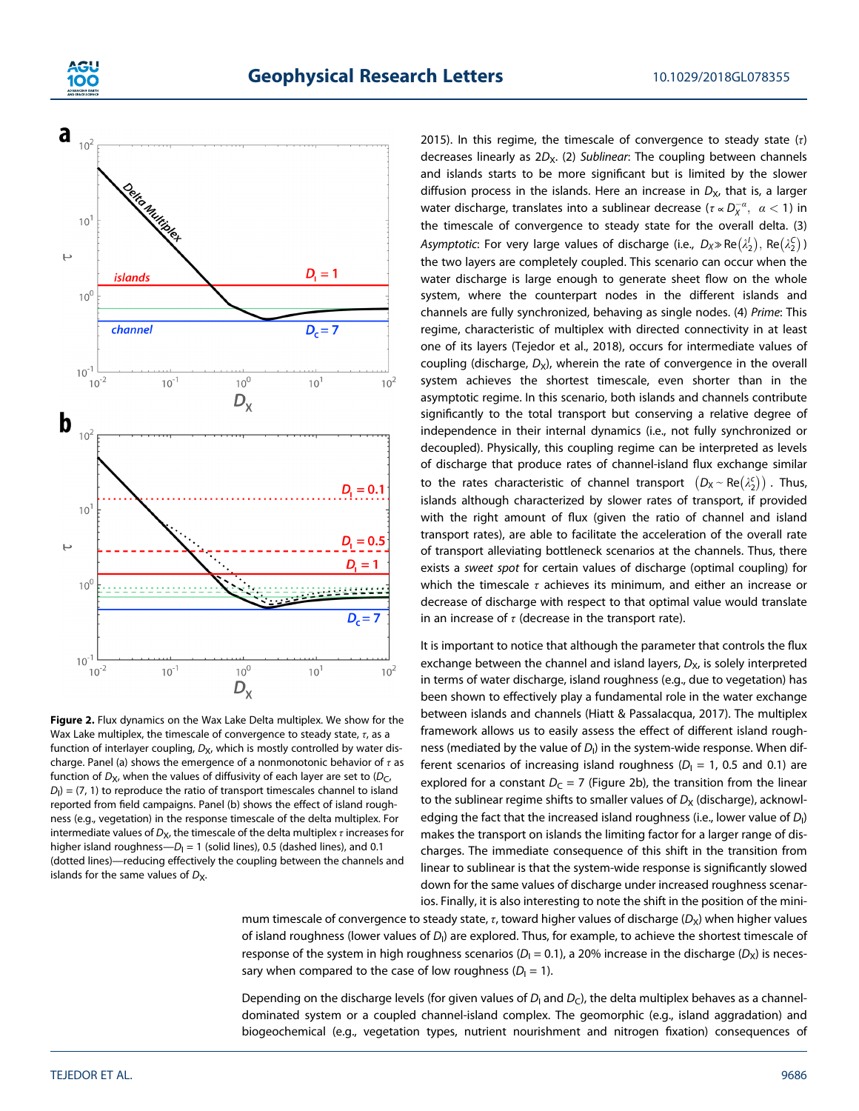

Figure 2. Flux dynamics on the Wax Lake Delta multiplex. We show for the Wax Lake multiplex, the timescale of convergence to steady state,  $\tau$ , as a function of interlayer coupling,  $D_X$ , which is mostly controlled by water discharge. Panel (a) shows the emergence of a nonmonotonic behavior of  $\tau$  as function of  $D_X$ , when the values of diffusivity of each layer are set to  $(D_C)$  $D_{\mathsf{I}}$ ) = (7, 1) to reproduce the ratio of transport timescales channel to island reported from field campaigns. Panel (b) shows the effect of island roughness (e.g., vegetation) in the response timescale of the delta multiplex. For intermediate values of  $D_X$ , the timescale of the delta multiplex  $\tau$  increases for higher island roughness— $D_1 = 1$  (solid lines), 0.5 (dashed lines), and 0.1 (dotted lines)—reducing effectively the coupling between the channels and islands for the same values of  $D_X$ .

2015). In this regime, the timescale of convergence to steady state  $(r)$ decreases linearly as  $2D<sub>X</sub>$ . (2) Sublinear: The coupling between channels and islands starts to be more significant but is limited by the slower diffusion process in the islands. Here an increase in  $D<sub>X</sub>$ , that is, a larger water discharge, translates into a sublinear decrease ( $\tau \propto D_{\chi}^{-\alpha}, ~~ \alpha < 1$ ) in the timescale of convergence to steady state for the overall delta. (3) Asymptotic: For very large values of discharge (i.e.,  $D_X\!\!\gg\!\textsf{Re}\big(\lambda_2^(\ell)\big)$ , Re $\big(\lambda_2^{\mathsf{C}}\big)$ ) the two layers are completely coupled. This scenario can occur when the water discharge is large enough to generate sheet flow on the whole system, where the counterpart nodes in the different islands and channels are fully synchronized, behaving as single nodes. (4) Prime: This regime, characteristic of multiplex with directed connectivity in at least one of its layers (Tejedor et al., 2018), occurs for intermediate values of coupling (discharge,  $D_x$ ), wherein the rate of convergence in the overall system achieves the shortest timescale, even shorter than in the asymptotic regime. In this scenario, both islands and channels contribute significantly to the total transport but conserving a relative degree of independence in their internal dynamics (i.e., not fully synchronized or decoupled). Physically, this coupling regime can be interpreted as levels of discharge that produce rates of channel-island flux exchange similar to the rates characteristic of channel transport  $(D_X \sim \text{Re}(\lambda_2^c))$ . Thus,<br>islands although characterized by slower rates of transport if provided islands although characterized by slower rates of transport, if provided with the right amount of flux (given the ratio of channel and island transport rates), are able to facilitate the acceleration of the overall rate of transport alleviating bottleneck scenarios at the channels. Thus, there exists a sweet spot for certain values of discharge (optimal coupling) for which the timescale  $\tau$  achieves its minimum, and either an increase or decrease of discharge with respect to that optimal value would translate in an increase of  $\tau$  (decrease in the transport rate).

It is important to notice that although the parameter that controls the flux exchange between the channel and island layers,  $D<sub>X</sub>$ , is solely interpreted in terms of water discharge, island roughness (e.g., due to vegetation) has been shown to effectively play a fundamental role in the water exchange between islands and channels (Hiatt & Passalacqua, 2017). The multiplex framework allows us to easily assess the effect of different island roughness (mediated by the value of  $D_{\mathsf{I}}$ ) in the system-wide response. When different scenarios of increasing island roughness ( $D<sub>1</sub> = 1$ , 0.5 and 0.1) are explored for a constant  $D<sub>C</sub> = 7$  (Figure 2b), the transition from the linear to the sublinear regime shifts to smaller values of  $D<sub>x</sub>$  (discharge), acknowledging the fact that the increased island roughness (i.e., lower value of  $D_{\mathsf{l}}$ ) makes the transport on islands the limiting factor for a larger range of discharges. The immediate consequence of this shift in the transition from linear to sublinear is that the system-wide response is significantly slowed down for the same values of discharge under increased roughness scenarios. Finally, it is also interesting to note the shift in the position of the mini-

mum timescale of convergence to steady state,  $\tau$ , toward higher values of discharge ( $D<sub>X</sub>$ ) when higher values of island roughness (lower values of  $D_{\sf I}$ ) are explored. Thus, for example, to achieve the shortest timescale of response of the system in high roughness scenarios ( $D_1 = 0.1$ ), a 20% increase in the discharge ( $D_X$ ) is necessary when compared to the case of low roughness ( $D_1 = 1$ ).

Depending on the discharge levels (for given values of  $D_1$  and  $D_C$ ), the delta multiplex behaves as a channeldominated system or a coupled channel-island complex. The geomorphic (e.g., island aggradation) and biogeochemical (e.g., vegetation types, nutrient nourishment and nitrogen fixation) consequences of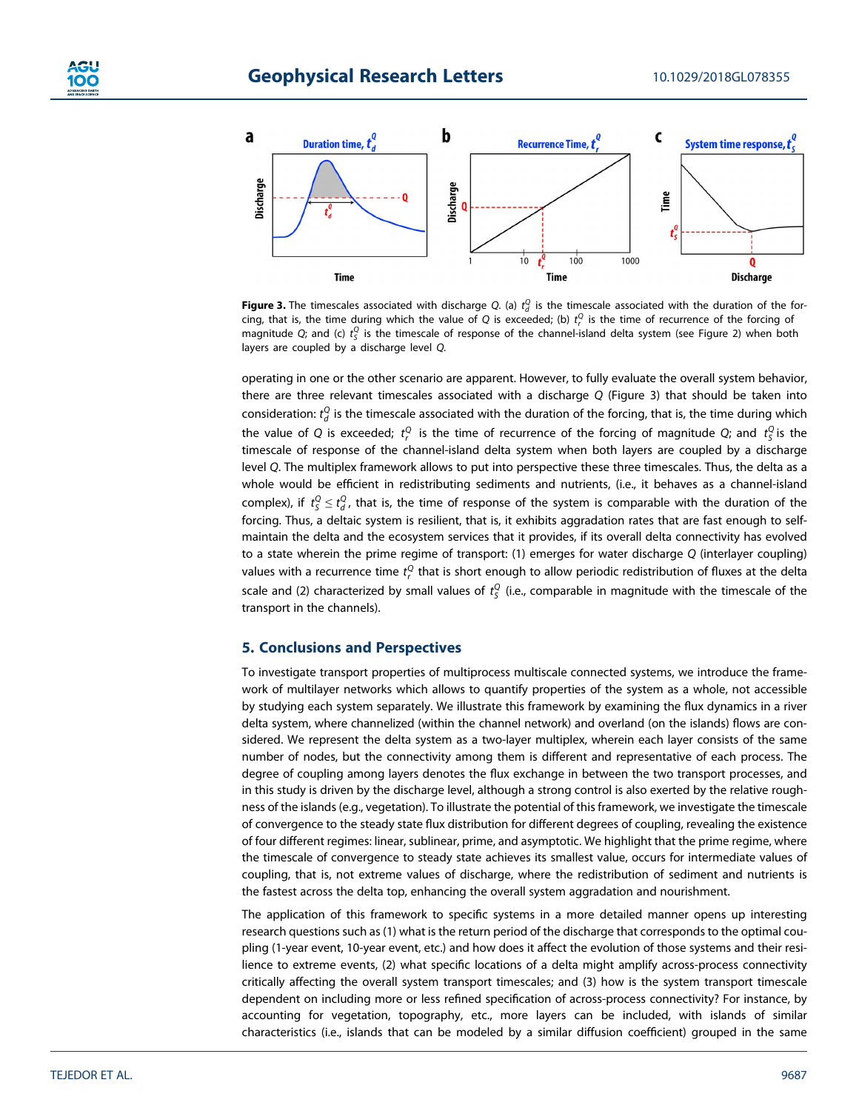

**Figure 3.** The timescales associated with discharge Q. (a)  $t_d^Q$  is the timescale associated with the duration of the forcing, that is, the time during which the value of Q is exceeded; (b)  $t_r^Q$  is the time of recurrence of the forcing of magnitude Q; and (c)  $t_S^Q$  is the timescale of response of the channel-island delta system (see Figure 2) when both layers are coupled by a discharge level Q.

operating in one or the other scenario are apparent. However, to fully evaluate the overall system behavior, there are three relevant timescales associated with a discharge Q (Figure 3) that should be taken into consideration:  $t_d^Q$  is the timescale associated with the duration of the forcing, that is, the time during which the value of Q is exceeded;  $t_r^Q$  is the time of recurrence of the forcing of magnitude Q; and  $t_\mathcal{S}^Q$  is the timescale of response of the channel-island delta system when both layers are coupled by a discharge level Q. The multiplex framework allows to put into perspective these three timescales. Thus, the delta as a whole would be efficient in redistributing sediments and nutrients, (i.e., it behaves as a channel-island complex), if  $t_S^Q \leq t_d^Q$ , that is, the time of response of the system is comparable with the duration of the forcing. Thus, a deltaic system is resilient, that is, it exhibits aggradation rates that are fast enough to selfmaintain the delta and the ecosystem services that it provides, if its overall delta connectivity has evolved to a state wherein the prime regime of transport: (1) emerges for water discharge Q (interlayer coupling) values with a recurrence time  $t_r^Q$  that is short enough to allow periodic redistribution of fluxes at the delta scale and (2) characterized by small values of  $t_{\varsigma}^{Q}$  (i.e., comparable in magnitude with the timescale of the transport in the channels).

### 5. Conclusions and Perspectives

To investigate transport properties of multiprocess multiscale connected systems, we introduce the framework of multilayer networks which allows to quantify properties of the system as a whole, not accessible by studying each system separately. We illustrate this framework by examining the flux dynamics in a river delta system, where channelized (within the channel network) and overland (on the islands) flows are considered. We represent the delta system as a two-layer multiplex, wherein each layer consists of the same number of nodes, but the connectivity among them is different and representative of each process. The degree of coupling among layers denotes the flux exchange in between the two transport processes, and in this study is driven by the discharge level, although a strong control is also exerted by the relative roughness of the islands (e.g., vegetation). To illustrate the potential of this framework, we investigate the timescale of convergence to the steady state flux distribution for different degrees of coupling, revealing the existence of four different regimes: linear, sublinear, prime, and asymptotic. We highlight that the prime regime, where the timescale of convergence to steady state achieves its smallest value, occurs for intermediate values of coupling, that is, not extreme values of discharge, where the redistribution of sediment and nutrients is the fastest across the delta top, enhancing the overall system aggradation and nourishment.

The application of this framework to specific systems in a more detailed manner opens up interesting research questions such as (1) what is the return period of the discharge that corresponds to the optimal coupling (1-year event, 10-year event, etc.) and how does it affect the evolution of those systems and their resilience to extreme events, (2) what specific locations of a delta might amplify across-process connectivity critically affecting the overall system transport timescales; and (3) how is the system transport timescale dependent on including more or less refined specification of across-process connectivity? For instance, by accounting for vegetation, topography, etc., more layers can be included, with islands of similar characteristics (i.e., islands that can be modeled by a similar diffusion coefficient) grouped in the same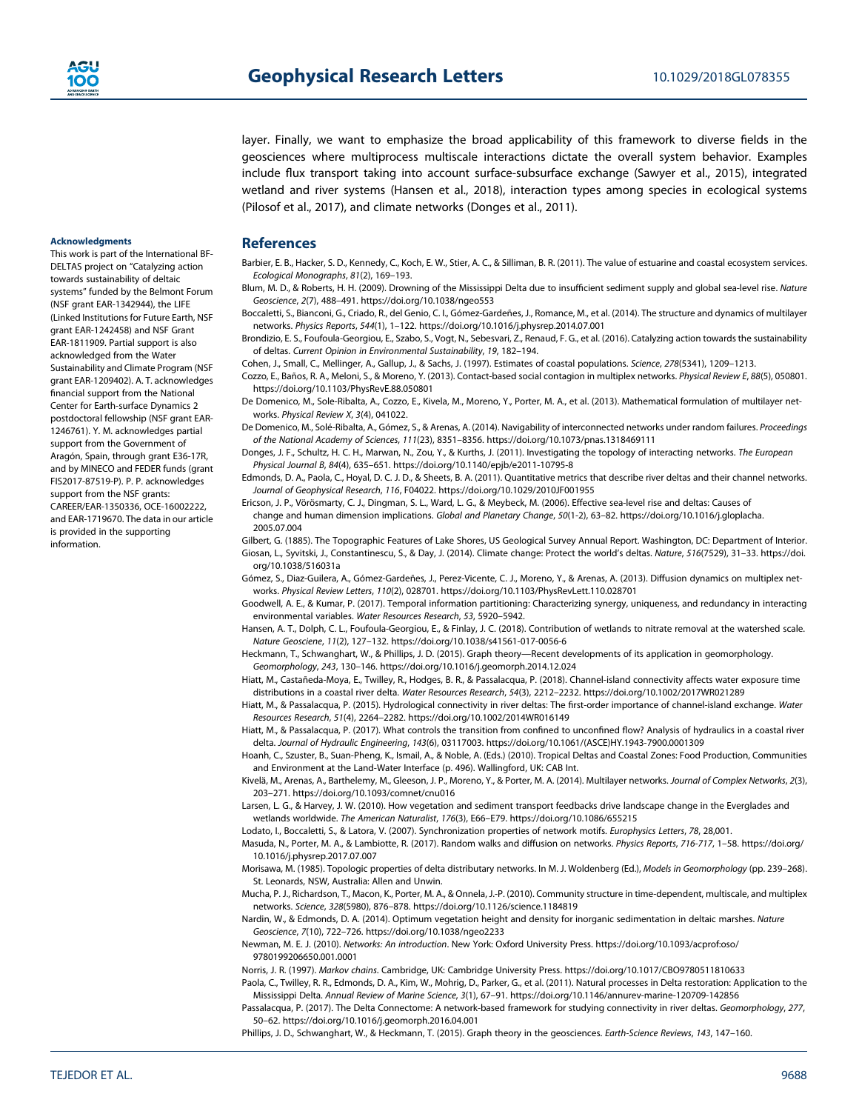layer. Finally, we want to emphasize the broad applicability of this framework to diverse fields in the geosciences where multiprocess multiscale interactions dictate the overall system behavior. Examples include flux transport taking into account surface-subsurface exchange (Sawyer et al., 2015), integrated wetland and river systems (Hansen et al., 2018), interaction types among species in ecological systems (Pilosof et al., 2017), and climate networks (Donges et al., 2011).

#### **Acknowledaments**

This work is part of the International BF-DELTAS project on "Catalyzing action towards sustainability of deltaic systems" funded by the Belmont Forum (NSF grant EAR-1342944), the LIFE (Linked Institutions for Future Earth, NSF grant EAR-1242458) and NSF Grant EAR-1811909. Partial support is also acknowledged from the Water Sustainability and Climate Program (NSF grant EAR-1209402). A. T. acknowledges financial support from the National Center for Earth-surface Dynamics 2 postdoctoral fellowship (NSF grant EAR-1246761). Y. M. acknowledges partial support from the Government of Aragón, Spain, through grant E36-17R, and by MINECO and FEDER funds (grant FIS2017-87519-P). P. P. acknowledges support from the NSF grants: CAREER/EAR-1350336, OCE-16002222, and EAR-1719670. The data in our article is provided in the supporting information.

#### References

Barbier, E. B., Hacker, S. D., Kennedy, C., Koch, E. W., Stier, A. C., & Silliman, B. R. (2011). The value of estuarine and coastal ecosystem services. Ecological Monographs, 81(2), 169–193.

Blum, M. D., & Roberts, H. H. (2009). Drowning of the Mississippi Delta due to insufficient sediment supply and global sea-level rise. Nature Geoscience, 2(7), 488–491.<https://doi.org/10.1038/ngeo553>

Boccaletti, S., Bianconi, G., Criado, R., del Genio, C. I., Gómez-Gardeñes, J., Romance, M., et al. (2014). The structure and dynamics of multilayer networks. Physics Reports, 544(1), 1–122.<https://doi.org/10.1016/j.physrep.2014.07.001>

Brondizio, E. S., Foufoula-Georgiou, E., Szabo, S., Vogt, N., Sebesvari, Z., Renaud, F. G., et al. (2016). Catalyzing action towards the sustainability of deltas. Current Opinion in Environmental Sustainability, 19, 182–194.

Cohen, J., Small, C., Mellinger, A., Gallup, J., & Sachs, J. (1997). Estimates of coastal populations. Science, 278(5341), 1209–1213.

Cozzo, E., Baños, R. A., Meloni, S., & Moreno, Y. (2013). Contact-based social contagion in multiplex networks. Physical Review E, 88(5), 050801. <https://doi.org/10.1103/PhysRevE.88.050801>

De Domenico, M., Sole-Ribalta, A., Cozzo, E., Kivela, M., Moreno, Y., Porter, M. A., et al. (2013). Mathematical formulation of multilayer networks. Physical Review X, 3(4), 041022.

De Domenico, M., Solé-Ribalta, A., Gómez, S., & Arenas, A. (2014). Navigability of interconnected networks under random failures. Proceedings of the National Academy of Sciences, 111(23), 8351–8356.<https://doi.org/10.1073/pnas.1318469111>

Donges, J. F., Schultz, H. C. H., Marwan, N., Zou, Y., & Kurths, J. (2011). Investigating the topology of interacting networks. The European Physical Journal B, 84(4), 635–651.<https://doi.org/10.1140/epjb/e2011-10795-8>

Edmonds, D. A., Paola, C., Hoyal, D. C. J. D., & Sheets, B. A. (2011). Quantitative metrics that describe river deltas and their channel networks. Journal of Geophysical Research, 116, F04022.<https://doi.org/10.1029/2010JF001955>

Ericson, J. P., Vörösmarty, C. J., Dingman, S. L., Ward, L. G., & Meybeck, M. (2006). Effective sea-level rise and deltas: Causes of change and human dimension implications. Global and Planetary Change, 50(1-2), 63–82. [https://doi.org/10.1016/j.gloplacha.](https://doi.org/10.1016/j.gloplacha.2005.07.004) [2005.07.004](https://doi.org/10.1016/j.gloplacha.2005.07.004)

Gilbert, G. (1885). The Topographic Features of Lake Shores, US Geological Survey Annual Report. Washington, DC: Department of Interior. Giosan, L., Syvitski, J., Constantinescu, S., & Day, J. (2014). Climate change: Protect the world's deltas. Nature, 516(7529), 31-33. [https://doi.](https://doi.org/10.1038/516031a) [org/10.1038/516031a](https://doi.org/10.1038/516031a)

Gómez, S., Diaz-Guilera, A., Gómez-Gardeñes, J., Perez-Vicente, C. J., Moreno, Y., & Arenas, A. (2013). Diffusion dynamics on multiplex networks. Physical Review Letters, 110(2), 028701.<https://doi.org/10.1103/PhysRevLett.110.028701>

Goodwell, A. E., & Kumar, P. (2017). Temporal information partitioning: Characterizing synergy, uniqueness, and redundancy in interacting environmental variables. Water Resources Research, 53, 5920–5942.

Hansen, A. T., Dolph, C. L., Foufoula-Georgiou, E., & Finlay, J. C. (2018). Contribution of wetlands to nitrate removal at the watershed scale. Nature Geosciene, 11(2), 127–132.<https://doi.org/10.1038/s41561-017-0056-6>

Heckmann, T., Schwanghart, W., & Phillips, J. D. (2015). Graph theory—Recent developments of its application in geomorphology. Geomorphology, 243, 130–146.<https://doi.org/10.1016/j.geomorph.2014.12.024>

Hiatt, M., Castañeda-Moya, E., Twilley, R., Hodges, B. R., & Passalacqua, P. (2018). Channel-island connectivity affects water exposure time distributions in a coastal river delta. Water Resources Research, 54(3), 2212–2232.<https://doi.org/10.1002/2017WR021289>

Hiatt, M., & Passalacqua, P. (2015). Hydrological connectivity in river deltas: The first-order importance of channel-island exchange. Water Resources Research, 51(4), 2264–2282.<https://doi.org/10.1002/2014WR016149>

Hiatt, M., & Passalacqua, P. (2017). What controls the transition from confined to unconfined flow? Analysis of hydraulics in a coastal river delta. Journal of Hydraulic Engineering, 143(6), 03117003. [https://doi.org/10.1061/\(ASCE\)HY.1943-7900.0001309](https://doi.org/10.1061/(ASCE)HY.1943-7900.0001309)

Hoanh, C., Szuster, B., Suan-Pheng, K., Ismail, A., & Noble, A. (Eds.) (2010). Tropical Deltas and Coastal Zones: Food Production, Communities and Environment at the Land-Water Interface (p. 496). Wallingford, UK: CAB Int.

Kivelä, M., Arenas, A., Barthelemy, M., Gleeson, J. P., Moreno, Y., & Porter, M. A. (2014). Multilayer networks. Journal of Complex Networks, 2(3), 203–271.<https://doi.org/10.1093/comnet/cnu016>

Larsen, L. G., & Harvey, J. W. (2010). How vegetation and sediment transport feedbacks drive landscape change in the Everglades and wetlands worldwide. The American Naturalist, 176(3), E66–E79.<https://doi.org/10.1086/655215>

Lodato, I., Boccaletti, S., & Latora, V. (2007). Synchronization properties of network motifs. Europhysics Letters, 78, 28,001.

Masuda, N., Porter, M. A., & Lambiotte, R. (2017). Random walks and diffusion on networks. Physics Reports, 716-717, 1–58. [https://doi.org/](https://doi.org/10.1016/j.physrep.2017.07.007) [10.1016/j.physrep.2017.07.007](https://doi.org/10.1016/j.physrep.2017.07.007)

Morisawa, M. (1985). Topologic properties of delta distributary networks. In M. J. Woldenberg (Ed.), Models in Geomorphology (pp. 239–268). St. Leonards, NSW, Australia: Allen and Unwin.

Mucha, P. J., Richardson, T., Macon, K., Porter, M. A., & Onnela, J.-P. (2010). Community structure in time-dependent, multiscale, and multiplex networks. Science, 328(5980), 876–878.<https://doi.org/10.1126/science.1184819>

Nardin, W., & Edmonds, D. A. (2014). Optimum vegetation height and density for inorganic sedimentation in deltaic marshes. Nature Geoscience, 7(10), 722–726.<https://doi.org/10.1038/ngeo2233>

Newman, M. E. J. (2010). Networks: An introduction. New York: Oxford University Press. [https://doi.org/10.1093/acprof:oso/](https://doi.org/10.1093/acprof:oso/9780199206650.001.0001) [9780199206650.001.0001](https://doi.org/10.1093/acprof:oso/9780199206650.001.0001)

Norris, J. R. (1997). Markov chains. Cambridge, UK: Cambridge University Press.<https://doi.org/10.1017/CBO9780511810633> Paola, C., Twilley, R. R., Edmonds, D. A., Kim, W., Mohrig, D., Parker, G., et al. (2011). Natural processes in Delta restoration: Application to the

Mississippi Delta. Annual Review of Marine Science, 3(1), 67–91.<https://doi.org/10.1146/annurev-marine-120709-142856> Passalacqua, P. (2017). The Delta Connectome: A network-based framework for studying connectivity in river deltas. Geomorphology, 277, 50–62.<https://doi.org/10.1016/j.geomorph.2016.04.001>

Phillips, J. D., Schwanghart, W., & Heckmann, T. (2015). Graph theory in the geosciences. Earth-Science Reviews, 143, 147-160.